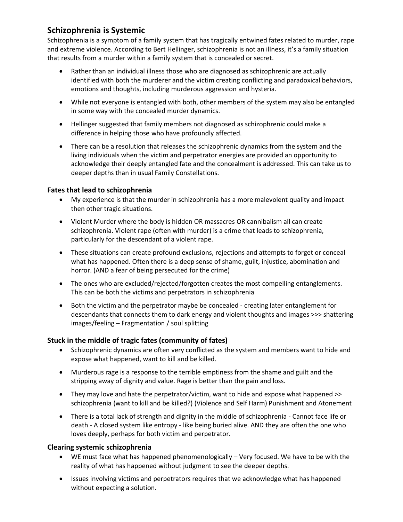# **Schizophrenia is Systemic**

Schizophrenia is a symptom of a family system that has tragically entwined fates related to murder, rape and extreme violence. According to Bert Hellinger, schizophrenia is not an illness, it's a family situation that results from a murder within a family system that is concealed or secret.

- Rather than an individual illness those who are diagnosed as schizophrenic are actually identified with both the murderer and the victim creating conflicting and paradoxical behaviors, emotions and thoughts, including murderous aggression and hysteria.
- While not everyone is entangled with both, other members of the system may also be entangled in some way with the concealed murder dynamics.
- Hellinger suggested that family members not diagnosed as schizophrenic could make a difference in helping those who have profoundly affected.
- There can be a resolution that releases the schizophrenic dynamics from the system and the living individuals when the victim and perpetrator energies are provided an opportunity to acknowledge their deeply entangled fate and the concealment is addressed. This can take us to deeper depths than in usual Family Constellations.

## **Fates that lead to schizophrenia**

- My experience is that the murder in schizophrenia has a more malevolent quality and impact then other tragic situations.
- Violent Murder where the body is hidden OR massacres OR cannibalism all can create schizophrenia. Violent rape (often with murder) is a crime that leads to schizophrenia, particularly for the descendant of a violent rape.
- These situations can create profound exclusions, rejections and attempts to forget or conceal what has happened. Often there is a deep sense of shame, guilt, injustice, abomination and horror. (AND a fear of being persecuted for the crime)
- The ones who are excluded/rejected/forgotten creates the most compelling entanglements. This can be both the victims and perpetrators in schizophrenia
- Both the victim and the perpetrator maybe be concealed creating later entanglement for descendants that connects them to dark energy and violent thoughts and images >>> shattering images/feeling – Fragmentation / soul splitting

### **Stuck in the middle of tragic fates (community of fates)**

- Schizophrenic dynamics are often very conflicted as the system and members want to hide and expose what happened, want to kill and be killed.
- Murderous rage is a response to the terrible emptiness from the shame and guilt and the stripping away of dignity and value. Rage is better than the pain and loss.
- They may love and hate the perpetrator/victim, want to hide and expose what happened >> schizophrenia (want to kill and be killed?) (Violence and Self Harm) Punishment and Atonement
- There is a total lack of strength and dignity in the middle of schizophrenia Cannot face life or death - A closed system like entropy - like being buried alive. AND they are often the one who loves deeply, perhaps for both victim and perpetrator.

### **Clearing systemic schizophrenia**

- WE must face what has happened phenomenologically Very focused. We have to be with the reality of what has happened without judgment to see the deeper depths.
- Issues involving victims and perpetrators requires that we acknowledge what has happened without expecting a solution.